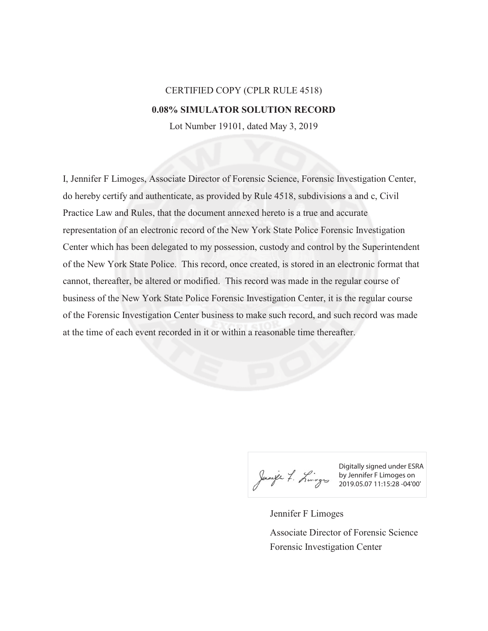## CERTIFIED COPY (CPLR RULE 4518) **0.08% SIMULATOR SOLUTION RECORD**

Lot Number 19101, dated May 3, 2019

I, Jennifer F Limoges, Associate Director of Forensic Science, Forensic Investigation Center, do hereby certify and authenticate, as provided by Rule 4518, subdivisions a and c, Civil Practice Law and Rules, that the document annexed hereto is a true and accurate representation of an electronic record of the New York State Police Forensic Investigation Center which has been delegated to my possession, custody and control by the Superintendent of the New York State Police. This record, once created, is stored in an electronic format that cannot, thereafter, be altered or modified. This record was made in the regular course of business of the New York State Police Forensic Investigation Center, it is the regular course of the Forensic Investigation Center business to make such record, and such record was made at the time of each event recorded in it or within a reasonable time thereafter.

Digitally signed under ESRA by Jennifer F Limoges on 2019.05.07 11:15:28 -04'00'

Jennifer F Limoges Forensic Investigation Center Associate Director of Forensic Science